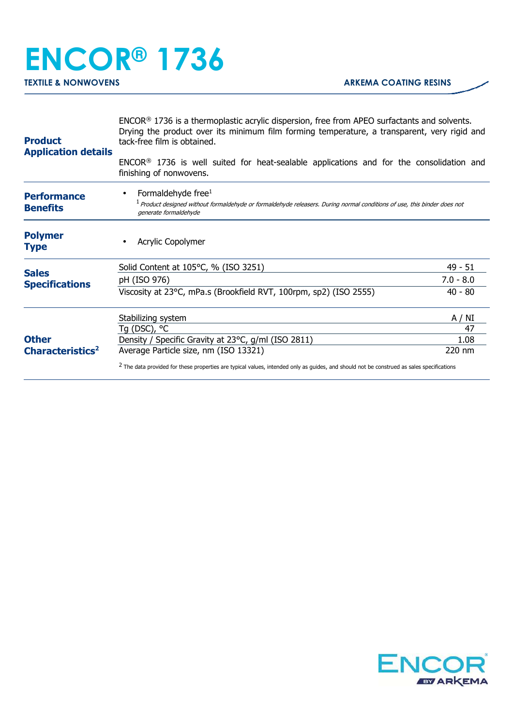## **ENCOR® 1736 TEXTILE & NONWOVENS ARKEMA COATING RESINS**

| <b>Product</b><br><b>Application details</b>                                          | ENCOR <sup>®</sup> 1736 is a thermoplastic acrylic dispersion, free from APEO surfactants and solvents.<br>Drying the product over its minimum film forming temperature, a transparent, very rigid and<br>tack-free film is obtained. |             |  |
|---------------------------------------------------------------------------------------|---------------------------------------------------------------------------------------------------------------------------------------------------------------------------------------------------------------------------------------|-------------|--|
|                                                                                       | ENCOR <sup>®</sup> 1736 is well suited for heat-sealable applications and for the consolidation and<br>finishing of nonwovens.                                                                                                        |             |  |
| <b>Performance</b><br><b>Benefits</b>                                                 | Formaldehyde free <sup>1</sup><br><sup>1</sup> Product designed without formaldehyde or formaldehyde releasers. During normal conditions of use, this binder does not<br>generate formaldehyde                                        |             |  |
| <b>Polymer</b><br><b>Type</b>                                                         | Acrylic Copolymer                                                                                                                                                                                                                     |             |  |
|                                                                                       | Solid Content at 105°C, % (ISO 3251)                                                                                                                                                                                                  | $49 - 51$   |  |
| <b>Sales</b><br><b>Specifications</b><br><b>Other</b><br>Characteristics <sup>2</sup> | pH (ISO 976)                                                                                                                                                                                                                          | $7.0 - 8.0$ |  |
|                                                                                       | Viscosity at 23°C, mPa.s (Brookfield RVT, 100rpm, sp2) (ISO 2555)                                                                                                                                                                     | $40 - 80$   |  |
|                                                                                       | Stabilizing system                                                                                                                                                                                                                    | A / NI      |  |
|                                                                                       | Tg (DSC), °C                                                                                                                                                                                                                          | 47          |  |
|                                                                                       | Density / Specific Gravity at 23°C, g/ml (ISO 2811)                                                                                                                                                                                   | 1.08        |  |
|                                                                                       | Average Particle size, nm (ISO 13321)                                                                                                                                                                                                 | 220 nm      |  |
|                                                                                       | <sup>2</sup> The data provided for these properties are typical values, intended only as guides, and should not be construed as sales specifications                                                                                  |             |  |